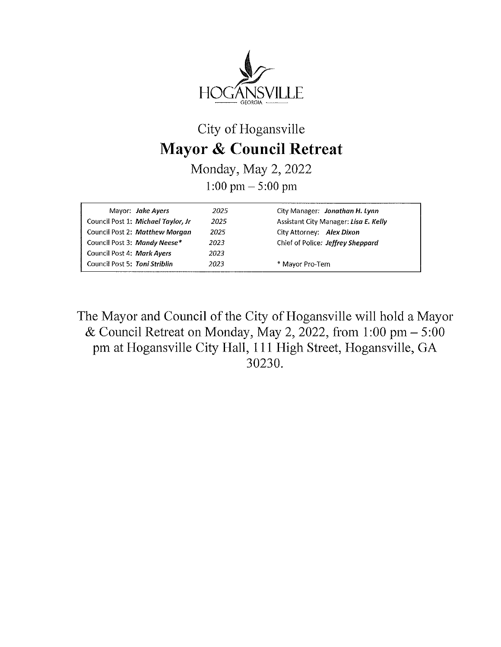

## City of Hogansville Mayor & Council Retreat

Monday, May 2, <sup>2022</sup> 1:00 pm  $- 5:00$  pm

| Mayor: Jake Ayers                  | 2025. | City Manager: Jonathan H. Lynn        |
|------------------------------------|-------|---------------------------------------|
| Council Post 1: Michael Taylor, Jr | 2025  | Assistant City Manager: Lisa E. Kelly |
| Council Post 2: Matthew Morgan     | 2025  | City Attorney: Alex Dixon             |
| Council Post 3: Mandy Neese*       | 2023  | Chief of Police: Jeffrey Sheppard     |
| Council Post 4: Mark Ayers         | 2023  |                                       |
| Council Post 5: Toni Striblin      | 2023  | * Mayor Pro-Tem                       |
|                                    |       |                                       |

The Mayor and Council of the City of Hogansville will hold <sup>a</sup> Mayor & Council Retreat on Monday, May 2, 2022, from  $1:00 \text{ pm} - 5:00$ pm at Hogansville City Hall, <sup>111</sup> High Street, Hogansville, GA 30230.